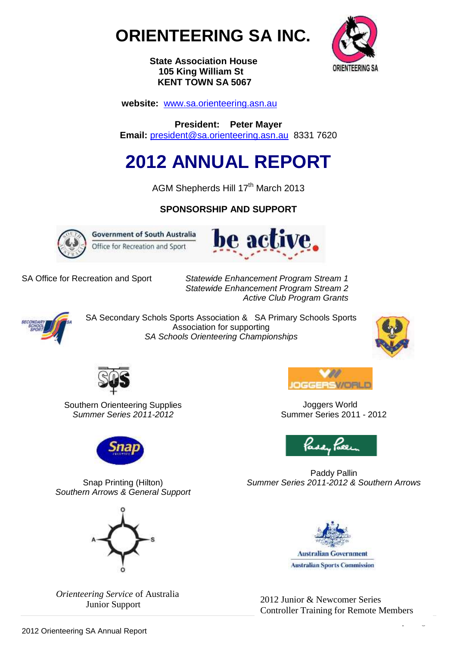



 **State Association House 105 King William St KENT TOWN SA 5067**

 **website:** [www.sa.orienteering.asn.au](http://www.sa.orienteering.asn.au/)

**President: Peter Mayer Email:** [president@sa.orienteering.asn.au](mailto:president@sa.orienteering.asn.au) 8331 7620

# **2012 ANNUAL REPORT**

AGM Shepherds Hill 17<sup>th</sup> March 2013

# **SPONSORSHIP AND SUPPORT**



**Government of South Australia** Office for Recreation and Sport



SA Office for Recreation and Sport *Statewide Enhancement Program Stream 1 Statewide Enhancement Program Stream 2 Active Club Program Grants*



SA Secondary Schols Sports Association & SA Primary Schools Sports Association for supporting *SA Schools Orienteering Championships*



1 | P a g e



Southern Orienteering Supplies *Summer Series 2011-2012*



GGERSVORI

**Joggers World** Summer Series 2011 - 2012



Paddy Pallin *Summer Series 2011-2012 & Southern Arrows*



 $\frac{1}{2012}$  Junior & Newcomer Series<br>Junior Support  $\frac{2012}{201}$  Junior & Newcomer Series Controller Training for Remote Members





 *Orienteering Service* of Australia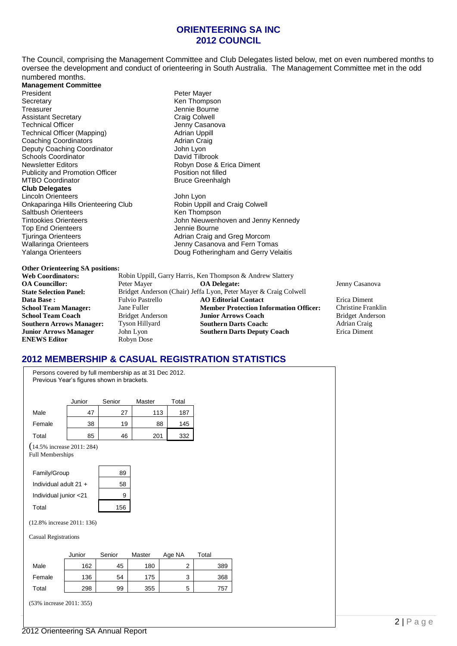# **ORIENTEERING SA INC 2012 COUNCIL**

The Council, comprising the Management Committee and Club Delegates listed below, met on even numbered months to oversee the development and conduct of orienteering in South Australia. The Management Committee met in the odd numbered months.

**Management Committee** Secretary **Ken Thompson** Treasurer 1999 - Treasurer 1999 - Jennie Bourne<br>
Assistant Secretary 1999 - Assistant Secretary 1999 - Craig Colwell Assistant Secretary **Craig Colwell**<br> **Assistant Secretary Craig Colwell Technical Officer**<br>
Craig Collection Casanova Technical Officer (Mapping) Technical Officer (Mapping) and Mapping Mapping Adrian Uppill Technical Officer (Mapping) Technical Officer (Mapping) **Adrian Uppill**<br>
Coaching Coordinators<br>
Adrian Craig **Coaching Coordinators** Adrian Craig Coordinator Adrian Craig Peputy Coaching Coordinator Adrian Craig Peputy Coordinator Deputy Coaching Coordinator **Concernsive Contract Concernsive Concernsive Concernsive Concernsive Concernsive Co**<br>Schools Coordinator Concernsive Concernsive David Tilbrook Schools Coordinator<br>Newsletter Editors Publicity and Promotion Officer MTBO Coordinator **Bruce Greenhalgh Club Delegates** Lincoln Orienteers **John Lyon** Onkaparinga Hills Orienteering Club Robin Uppill and Craig Colwell Saltbush Orienteers<br>
Tintookies Orienteers<br>
Tintookies Orienteers<br>
Tintookies Orienteers Top End Orienteers **Access** Jennie Bourne Tjuringa Orienteers **Adrian Craig and Greg Morcom**<br>
Wallaringa Orienteers **Adrian Craig and Serian Craig and Ferian** Unit Wallaringa Orienteers Jenny Casanova and Fern Tomas

# Peter Mayer Robyn Dose & Erica Diment<br>Position not filled

John Nieuwenhoven and Jenny Kennedy Doug Fotheringham and Gerry Velaitis

## **Other Orienteering SA positions:**

| Robin Uppill, Garry Harris, Ken Thompson & Andrew Slattery |                                               |                                                                  |
|------------------------------------------------------------|-----------------------------------------------|------------------------------------------------------------------|
| Peter Mayer                                                | <b>OA</b> Delegate:                           | Jenny Casanova                                                   |
|                                                            |                                               |                                                                  |
| <b>Fulvio Pastrello</b>                                    | <b>AO Editorial Contact</b>                   | Erica Diment                                                     |
| Jane Fuller                                                | <b>Member Protection Information Officer:</b> | Christine Franklin                                               |
| <b>Bridget Anderson</b>                                    | <b>Junior Arrows Coach</b>                    | <b>Bridget Anderson</b>                                          |
| Tyson Hillyard                                             | <b>Southern Darts Coach:</b>                  | Adrian Craig                                                     |
| John Lyon                                                  | <b>Southern Darts Deputy Coach</b>            | Erica Diment                                                     |
| Robyn Dose                                                 |                                               |                                                                  |
|                                                            |                                               | Bridget Anderson (Chair) Jeffa Lyon, Peter Mayer & Craig Colwell |

# **2012 MEMBERSHIP & CASUAL REGISTRATION STATISTICS**

Persons covered by full membership as at 31 Dec 2012. Previous Year's figures shown in brackets. Junior Senior Master Total Male | 47 | 27 | 113 | 187 Female 38 19 88 145 Total 85 46 201 332 (14.5% increase 2011: 284) Full Memberships Family/Group 89 Individual adult  $21 +$  58 Individual junior  $< 21$  9 Total 156 (12.8% increase 2011: 136) Casual Registrations Junior Senior Master Age NA Total Male | 162 | 45 | 180 | 2 | 389 Female | 136 | 54 | 175 | 3 | 368 Total 298 99 355 5 757 (53% increase 2011: 355)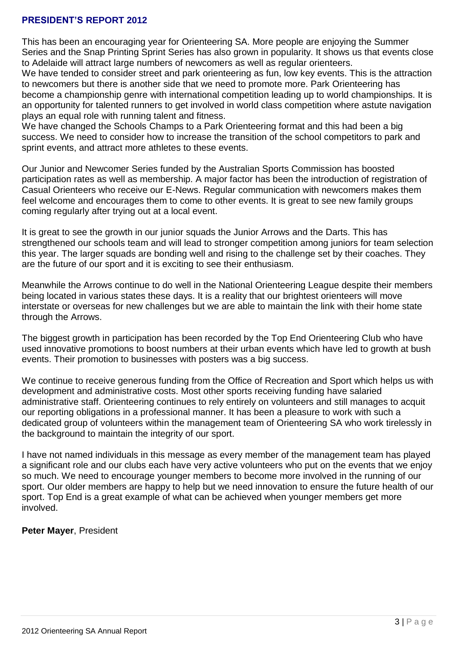# **PRESIDENT'S REPORT 2012**

This has been an encouraging year for Orienteering SA. More people are enjoying the Summer Series and the Snap Printing Sprint Series has also grown in popularity. It shows us that events close to Adelaide will attract large numbers of newcomers as well as regular orienteers.

We have tended to consider street and park orienteering as fun, low key events. This is the attraction to newcomers but there is another side that we need to promote more. Park Orienteering has become a championship genre with international competition leading up to world championships. It is an opportunity for talented runners to get involved in world class competition where astute navigation plays an equal role with running talent and fitness.

We have changed the Schools Champs to a Park Orienteering format and this had been a big success. We need to consider how to increase the transition of the school competitors to park and sprint events, and attract more athletes to these events.

Our Junior and Newcomer Series funded by the Australian Sports Commission has boosted participation rates as well as membership. A major factor has been the introduction of registration of Casual Orienteers who receive our E-News. Regular communication with newcomers makes them feel welcome and encourages them to come to other events. It is great to see new family groups coming regularly after trying out at a local event.

It is great to see the growth in our junior squads the Junior Arrows and the Darts. This has strengthened our schools team and will lead to stronger competition among juniors for team selection this year. The larger squads are bonding well and rising to the challenge set by their coaches. They are the future of our sport and it is exciting to see their enthusiasm.

Meanwhile the Arrows continue to do well in the National Orienteering League despite their members being located in various states these days. It is a reality that our brightest orienteers will move interstate or overseas for new challenges but we are able to maintain the link with their home state through the Arrows.

The biggest growth in participation has been recorded by the Top End Orienteering Club who have used innovative promotions to boost numbers at their urban events which have led to growth at bush events. Their promotion to businesses with posters was a big success.

We continue to receive generous funding from the Office of Recreation and Sport which helps us with development and administrative costs. Most other sports receiving funding have salaried administrative staff. Orienteering continues to rely entirely on volunteers and still manages to acquit our reporting obligations in a professional manner. It has been a pleasure to work with such a dedicated group of volunteers within the management team of Orienteering SA who work tirelessly in the background to maintain the integrity of our sport.

I have not named individuals in this message as every member of the management team has played a significant role and our clubs each have very active volunteers who put on the events that we enjoy so much. We need to encourage younger members to become more involved in the running of our sport. Our older members are happy to help but we need innovation to ensure the future health of our sport. Top End is a great example of what can be achieved when younger members get more involved.

**Peter Mayer**, President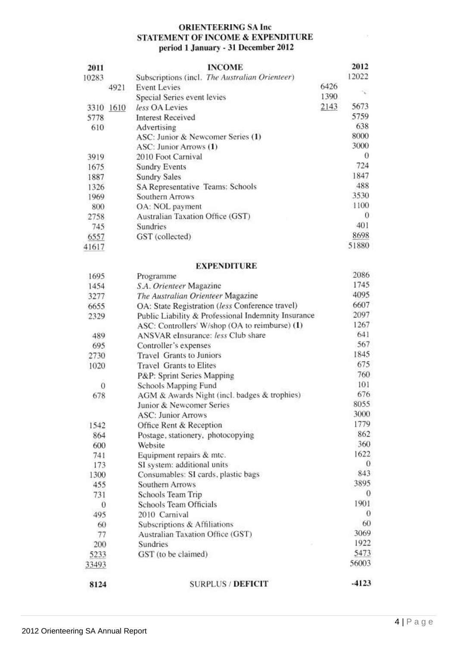# **ORIENTEERING SA Inc** STATEMENT OF INCOME & EXPENDITURE period 1 January - 31 December 2012

| 2011  |           | <b>INCOME</b>                                  |      | 2012  |
|-------|-----------|------------------------------------------------|------|-------|
| 10283 |           | Subscriptions (incl. The Australian Orienteer) |      | 12022 |
|       | 4921      | <b>Event Levies</b>                            | 6426 |       |
|       |           | Special Series event levies                    | 1390 |       |
|       | 3310 1610 | less OA Levies                                 | 2143 | 5673  |
| 5778  |           | <b>Interest Received</b>                       |      | 5759  |
| 610   |           | Advertising                                    |      | 638   |
|       |           | ASC: Junior & Newcomer Series (1)              |      | 8000  |
|       |           | ASC: Junior Arrows (1)                         |      | 3000  |
| 3919  |           | 2010 Foot Carnival                             |      | 0     |
| 1675  |           | <b>Sundry Events</b>                           |      | 724   |
| 1887  |           | <b>Sundry Sales</b>                            |      | 1847  |
| 1326  |           | SA Representative Teams: Schools               |      | 488   |
| 1969  |           | Southern Arrows                                |      | 3530  |
| 800   |           | OA: NOL payment                                |      | 1100  |
| 2758  |           | Australian Taxation Office (GST)               |      | 0     |
| 745   |           | Sundries                                       |      | 401   |
| 6557  |           | GST (collected)                                |      | 8698  |
| 41617 |           |                                                |      | 51880 |

# **EXPENDITURE**

|       | EALEMPH UNE                                         |          |
|-------|-----------------------------------------------------|----------|
| 1695  | Programme                                           | 2086     |
| 1454  | S.A. Orienteer Magazine                             | 1745     |
| 3277  | The Australian Orienteer Magazine                   | 4095     |
| 6655  | OA: State Registration (less Conference travel)     | 6607     |
| 2329  | Public Liability & Professional Indemnity Insurance | 2097     |
|       | ASC: Controllers' W/shop (OA to reimburse) (1)      | 1267     |
| 489   | ANSVAR eInsurance: less Club share                  | 641      |
| 695   | Controller's expenses                               | 567      |
| 2730  | <b>Travel Grants to Juniors</b>                     | 1845     |
| 1020  | <b>Travel Grants to Elites</b>                      | 675      |
|       | P&P: Sprint Series Mapping                          | 760      |
| 0     | Schools Mapping Fund                                | 101      |
| 678   | AGM & Awards Night (incl. badges & trophies)        | 676      |
|       | Junior & Newcomer Series                            | 8055     |
|       | <b>ASC: Junior Arrows</b>                           | 3000     |
| 1542  | Office Rent & Reception                             | 1779     |
| 864   | Postage, stationery, photocopying                   | 862      |
| 600   | Website                                             | 360      |
| 741   | Equipment repairs & mtc.                            | 1622     |
| 173   | SI system: additional units                         | $\theta$ |
| 1300  | Consumables: SI cards, plastic bags                 | 843      |
| 455   | Southern Arrows                                     | 3895     |
| 731   | Schools Team Trip                                   | 0        |
| 0     | Schools Team Officials                              | 1901     |
| 495   | 2010 Carnival                                       | $\Omega$ |
| 60    | Subscriptions & Affiliations                        | 60       |
| 77    | Australian Taxation Office (GST)                    | 3069     |
| 200   | Sundries                                            | 1922     |
| 5233  | GST (to be claimed)                                 | 5473     |
| 33493 |                                                     | 56003    |
| 8124  | <b>SURPLUS / DEFICIT</b>                            | $-4123$  |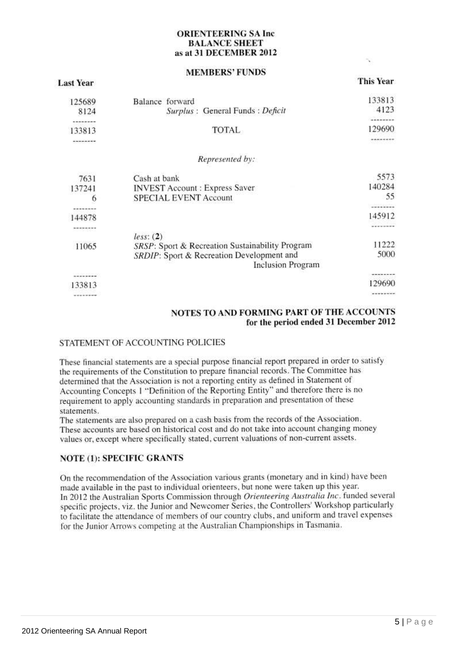# **ORIENTEERING SA Inc BALANCE SHEET** as at 31 DECEMBER 2012

# **MEMBERS' FUNDS**

**This Year** 

| 125689                         | Balance forward                                 | 133813                     |
|--------------------------------|-------------------------------------------------|----------------------------|
| 8124                           | Surplus: General Funds: Deficit                 | 4123                       |
|                                |                                                 |                            |
| 133813                         | TOTAL                                           | 129690                     |
| --------                       |                                                 | --------                   |
|                                | Represented by:                                 |                            |
| 7631                           | Cash at bank                                    | 5573                       |
| 137241                         | <b>INVEST Account: Express Saver</b>            | 140284                     |
| 6                              | <b>SPECIAL EVENT Account</b>                    | 55                         |
|                                |                                                 | --------                   |
| 144878                         |                                                 | 145912                     |
| ---------                      |                                                 | --------                   |
|                                | less: (2)                                       |                            |
| 11065                          | SRSP: Sport & Recreation Sustainability Program | 11222                      |
|                                | SRDIP: Sport & Recreation Development and       | 5000                       |
|                                | <b>Inclusion Program</b>                        |                            |
| ********                       |                                                 |                            |
| 133813                         |                                                 | 129690                     |
| about the set for the new day. |                                                 | at on the far to record on |
|                                |                                                 |                            |

# NOTES TO AND FORMING PART OF THE ACCOUNTS for the period ended 31 December 2012

# STATEMENT OF ACCOUNTING POLICIES

These financial statements are a special purpose financial report prepared in order to satisfy the requirements of the Constitution to prepare financial records. The Committee has determined that the Association is not a reporting entity as defined in Statement of Accounting Concepts 1 "Definition of the Reporting Entity" and therefore there is no requirement to apply accounting standards in preparation and presentation of these statements.

The statements are also prepared on a cash basis from the records of the Association. These accounts are based on historical cost and do not take into account changing money values or, except where specifically stated, current valuations of non-current assets.

# **NOTE (1): SPECIFIC GRANTS**

On the recommendation of the Association various grants (monetary and in kind) have been made available in the past to individual orienteers, but none were taken up this year. In 2012 the Australian Sports Commission through Orienteering Australia Inc. funded several specific projects, viz. the Junior and Newcomer Series, the Controllers' Workshop particularly to facilitate the attendance of members of our country clubs, and uniform and travel expenses for the Junior Arrows competing at the Australian Championships in Tasmania.

**Last Year**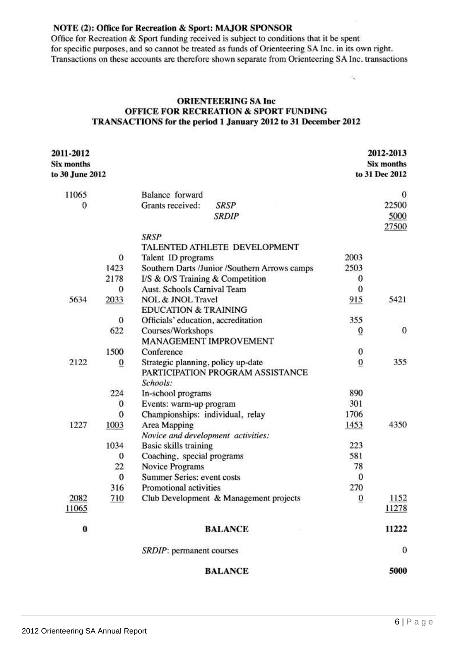# NOTE (2): Office for Recreation & Sport: MAJOR SPONSOR

Office for Recreation & Sport funding received is subject to conditions that it be spent for specific purposes, and so cannot be treated as funds of Orienteering SA Inc. in its own right. Transactions on these accounts are therefore shown separate from Orienteering SA Inc. transactions

# **ORIENTEERING SA Inc OFFICE FOR RECREATION & SPORT FUNDING** TRANSACTIONS for the period 1 January 2012 to 31 December 2012

| 2011-2012       |              |                                               |                  | 2012-2013      |
|-----------------|--------------|-----------------------------------------------|------------------|----------------|
| Six months      |              |                                               |                  | Six months     |
| to 30 June 2012 |              |                                               |                  | to 31 Dec 2012 |
| 11065           |              | Balance forward                               |                  | 0              |
| 0               |              | Grants received:<br><b>SRSP</b>               |                  | 22500          |
|                 |              | <b>SRDIP</b>                                  |                  | 5000           |
|                 |              |                                               |                  | 27500          |
|                 |              | <b>SRSP</b>                                   |                  |                |
|                 |              | TALENTED ATHLETE DEVELOPMENT                  |                  |                |
|                 | $\mathbf{0}$ | Talent ID programs                            | 2003             |                |
|                 | 1423         | Southern Darts /Junior /Southern Arrows camps | 2503             |                |
|                 | 2178         | I/S & O/S Training & Competition              | $\boldsymbol{0}$ |                |
|                 | $\mathbf{0}$ | Aust. Schools Carnival Team                   | $\bf{0}$         |                |
| 5634            | 2033         | NOL & JNOL Travel                             | 915              | 5421           |
|                 |              | <b>EDUCATION &amp; TRAINING</b>               |                  |                |
|                 | $\mathbf{0}$ | Officials' education, accreditation           | 355              |                |
|                 | 622          | Courses/Workshops                             | $\bf{0}$         | $\bf{0}$       |
|                 |              | MANAGEMENT IMPROVEMENT                        |                  |                |
|                 | 1500         | Conference                                    | $\bf{0}$         |                |
| 2122            | $\mathbf{0}$ | Strategic planning, policy up-date            | $\bf{0}$         | 355            |
|                 |              | PARTICIPATION PROGRAM ASSISTANCE              |                  |                |
|                 |              | Schools:                                      |                  |                |
|                 | 224          | In-school programs                            | 890              |                |
|                 | $\bf{0}$     | Events: warm-up program                       | 301              |                |
|                 | $\mathbf{0}$ | Championships: individual, relay              | 1706             |                |
| 1227            | 1003         | Area Mapping                                  | 1453             | 4350           |
|                 |              | Novice and development activities:            |                  |                |
|                 | 1034         | Basic skills training                         | 223              |                |
|                 | $\mathbf{0}$ | Coaching, special programs                    | 581              |                |
|                 | 22           | Novice Programs                               | 78               |                |
|                 | $\bf{0}$     | Summer Series: event costs                    | $\mathbf{0}$     |                |
|                 | 316          | Promotional activities                        | 270              |                |
| 2082            | 710          | Club Development & Management projects        | $\overline{0}$   | 1152           |
| 11065           |              |                                               |                  | 11278          |
| 0               |              | <b>BALANCE</b>                                |                  | 11222          |
|                 |              | SRDIP: permanent courses                      |                  | $\bf{0}$       |
|                 |              | <b>BALANCE</b>                                |                  | 5000           |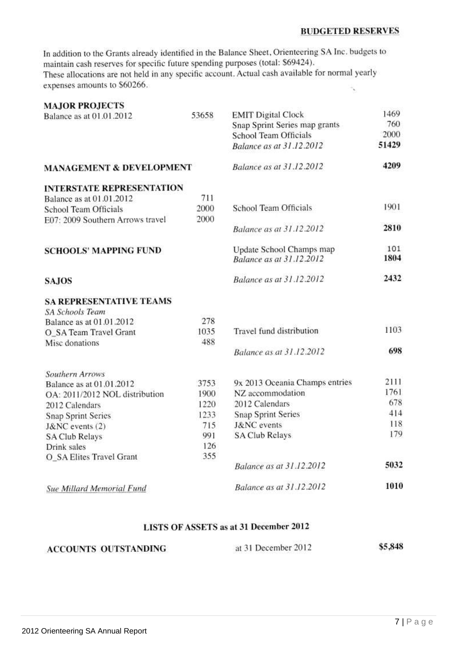# **BUDGETED RESERVES**

In addition to the Grants already identified in the Balance Sheet, Orienteering SA Inc. budgets to maintain cash reserves for specific future spending purposes (total: \$69424). These allocations are not held in any specific account. Actual cash available for normal yearly expenses amounts to \$60266.

| <b>MAJOR PROJECTS</b>               |       |                                 |       |
|-------------------------------------|-------|---------------------------------|-------|
| Balance as at 01.01.2012            | 53658 | <b>EMIT Digital Clock</b>       | 1469  |
|                                     |       | Snap Sprint Series map grants   | 760   |
|                                     |       | School Team Officials           | 2000  |
|                                     |       | Balance as at 31.12.2012        | 51429 |
| <b>MANAGEMENT &amp; DEVELOPMENT</b> |       | <b>Balance as at 31.12.2012</b> | 4209  |
| <b>INTERSTATE REPRESENTATION</b>    |       |                                 |       |
| Balance as at 01.01.2012            | 711   |                                 |       |
| School Team Officials               | 2000  | School Team Officials           | 1901  |
| E07: 2009 Southern Arrows travel    | 2000  |                                 |       |
|                                     |       | Balance as at 31.12.2012        | 2810  |
| <b>SCHOOLS' MAPPING FUND</b>        |       | Update School Champs map        | 101   |
|                                     |       | Balance as at 31.12.2012        | 1804  |
| <b>SAJOS</b>                        |       | Balance as at 31.12.2012        | 2432  |
| <b>SA REPRESENTATIVE TEAMS</b>      |       |                                 |       |
| <b>SA Schools Team</b>              |       |                                 |       |
| Balance as at 01.01.2012            | 278   |                                 |       |
| O_SA Team Travel Grant              | 1035  | Travel fund distribution        | 1103  |
| Misc donations                      | 488   |                                 |       |
|                                     |       | Balance as at 31.12.2012        | 698   |
| <b>Southern Arrows</b>              |       |                                 |       |
| Balance as at 01.01.2012            | 3753  | 9x 2013 Oceania Champs entries  | 2111  |
| OA: 2011/2012 NOL distribution      | 1900  | NZ accommodation                | 1761  |
| 2012 Calendars                      | 1220  | 2012 Calendars                  | 678   |
| <b>Snap Sprint Series</b>           | 1233  | <b>Snap Sprint Series</b>       | 414   |
| J&NC events (2)                     | 715   | <b>J&amp;NC</b> events          | 118   |
| <b>SA Club Relays</b>               | 991   | SA Club Relays                  | 179   |
| Drink sales                         | 126   |                                 |       |
| O_SA Elites Travel Grant            | 355   |                                 |       |
|                                     |       | Balance as at 31.12.2012        | 5032  |
| <b>Sue Millard Memorial Fund</b>    |       | Balance as at 31.12.2012        | 1010  |

# LISTS OF ASSETS as at 31 December 2012

### \$5,848 at 31 December 2012 **ACCOUNTS OUTSTANDING**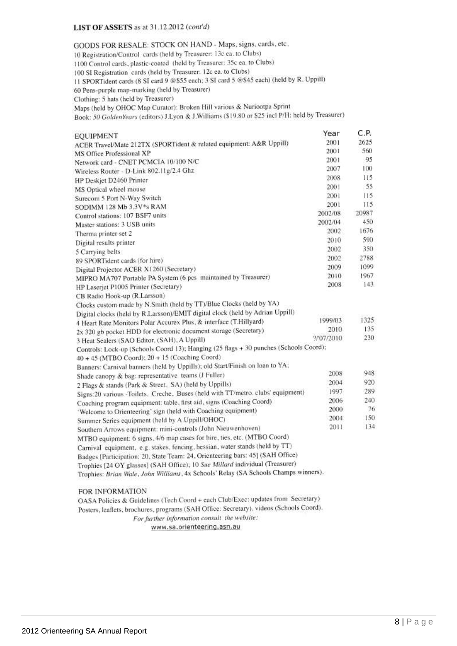## LIST OF ASSETS as at 31.12.2012 (cont'd)

GOODS FOR RESALE: STOCK ON HAND - Maps, signs, cards, etc. 10 Registration/Control cards (held by Treasurer: 13c ea. to Clubs) 1100 Control cards, plastic-coated (held by Treasurer: 35c ea. to Clubs) 100 SI Registration cards (held by Treasurer: 12c ea. to Clubs) 11 SPORTident cards (8 SI card 9 @\$55 each; 3 SI card 5 @\$45 each) (held by R. Uppill) 60 Pens-purple map-marking (held by Treasurer) Clothing: 5 hats (held by Treasurer) Maps (held by OHOC Map Curator): Broken Hill various & Nuriootpa Sprint Book: 50 GoldenYears (editors) J.Lyon & J.Williams (\$19.80 or \$25 incl P/H: held by Treasurer) C.P. Year **EOUIPMENT** 2625 2001 ACER Travel/Mate 212TX (SPORTident & related equipment: A&R Uppill) 2001 560 MS Office Professional XP 2001 95 Network card - CNET PCMCIA 10/100 N/C 2007 100 Wireless Router - D-Link 802.11g/2.4 Ghz 2008  $115$ HP Deskjet D2460 Printer 2001 55 MS Optical wheel mouse 2001  $115$ Surecom 5 Port N-Way Switch 2001 115 SODIMM 128 Mb 3.3V\*s RAM 20987 2002/08 Control stations: 107 BSF7 units 2002/04 450 Master stations: 3 USB units 2002 1676 Therma printer set 2 590 2010 Digital results printer 350 2002 5 Carrying belts 2002 2788 89 SPORTident cards (for hire) 2009 1099 Digital Projector ACER X1260 (Secretary) 2010 1967 MIPRO MA707 Portable PA System (6 pcs maintained by Treasurer) 2008 143 HP Laserjet P1005 Printer (Secretary) CB Radio Hook-up (R.Larsson) Clocks custom made by N.Smith (held by TT)/Blue Clocks (held by YA) Digital clocks (held by R.Larsson)/EMIT digital clock (held by Adrian Uppill) 1325 1999/03 4 Heart Rate Monitors Polar Accurex Plus, & interface (T.Hillyard) 135 2x 320 gb pocket HDD for electronic document storage (Secretary) 2010 230 2/07/2010 3 Heat Sealers (SAO Editor, (SAH), A Uppill) Controls: Lock-up (Schools Coord 13); Hanging (25 flags + 30 punches (Schools Coord); 40 + 45 (MTBO Coord); 20 + 15 (Coaching Coord) Banners: Carnival banners (held by Uppills); old Start/Finish on loan to YA; 948 2008 Shade canopy & bag: representative teams (J Fuller) 920 2004 2 Flags & stands (Park & Street, SA) (held by Uppills) 1997 289 Signs:20 various -Toilets, Creche, Buses (held with TT/metro, clubs' equipment) 240 2006 Coaching program equipment: table, first aid, signs (Coaching Coord) 2000 76 'Welcome to Orienteering' sign (held with Coaching equipment) 2004 150 Summer Series equipment (held by A.Uppill/OHOC) 2011 134 Southern Arrows equipment. mini-controls (John Nieuwenhoven) MTBO equipment: 6 signs, 4/6 map cases for hire, ties, etc. (MTBO Coord) Carnival equipment, e.g. stakes, fencing, hessian, water stands (held by TT) Badges [Participation: 20, State Team: 24, Orienteering bars: 45] (SAH Office) Trophies [24 OY glasses] (SAH Office); 10 Sue Millard individual (Treasurer) Trophies: Brian Wale, John Williams, 4x Schools' Relay (SA Schools Champs winners).

# FOR INFORMATION

OASA Policies & Guidelines (Tech Coord + each Club/Exec: updates from Secretary) Posters, leaflets, brochures, programs (SAH Office: Secretary), videos (Schools Coord). For further information consult the website: www.sa.orienteering.asn.au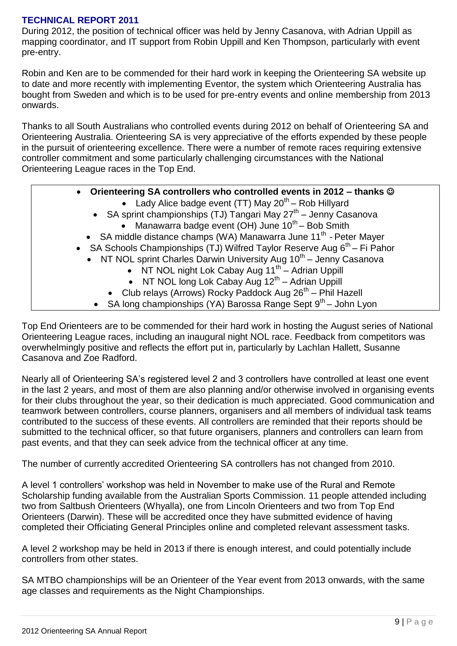# **TECHNICAL REPORT 2011**

During 2012, the position of technical officer was held by Jenny Casanova, with Adrian Uppill as mapping coordinator, and IT support from Robin Uppill and Ken Thompson, particularly with event pre-entry.

Robin and Ken are to be commended for their hard work in keeping the Orienteering SA website up to date and more recently with implementing Eventor, the system which Orienteering Australia has bought from Sweden and which is to be used for pre-entry events and online membership from 2013 onwards.

Thanks to all South Australians who controlled events during 2012 on behalf of Orienteering SA and Orienteering Australia. Orienteering SA is very appreciative of the efforts expended by these people in the pursuit of orienteering excellence. There were a number of remote races requiring extensive controller commitment and some particularly challenging circumstances with the National Orienteering League races in the Top End.

# **Orienteering SA controllers who controlled events in 2012 – thanks**

- Lady Alice badge event (TT) May  $20<sup>th</sup>$  Rob Hillyard
- SA sprint championships (TJ) Tangari May 27<sup>th</sup> Jenny Casanova • Manawarra badge event (OH) June  $10^{th}$  – Bob Smith
- SA middle distance champs (WA) Manawarra June 11<sup>th</sup> Peter Mayer
- SA Schools Championships (TJ) Wilfred Taylor Reserve Aug  $6<sup>th</sup>$  Fi Pahor
- NT NOL sprint Charles Darwin University Aug  $10^{th}$  Jenny Casanova
	- $\bullet$  NT NOL night Lok Cabay Aug 11<sup>th</sup> Adrian Uppill
	- NT NOL long Lok Cabay Aug  $12<sup>th</sup>$  Adrian Uppill
	- $\bullet$  Club relays (Arrows) Rocky Paddock Aug 26<sup>th</sup> Phil Hazell
	- SA long championships (YA) Barossa Range Sept  $9<sup>th</sup>$  John Lyon

Top End Orienteers are to be commended for their hard work in hosting the August series of National Orienteering League races, including an inaugural night NOL race. Feedback from competitors was overwhelmingly positive and reflects the effort put in, particularly by Lachlan Hallett, Susanne Casanova and Zoe Radford.

Nearly all of Orienteering SA's registered level 2 and 3 controllers have controlled at least one event in the last 2 years, and most of them are also planning and/or otherwise involved in organising events for their clubs throughout the year, so their dedication is much appreciated. Good communication and teamwork between controllers, course planners, organisers and all members of individual task teams contributed to the success of these events. All controllers are reminded that their reports should be submitted to the technical officer, so that future organisers, planners and controllers can learn from past events, and that they can seek advice from the technical officer at any time.

The number of currently accredited Orienteering SA controllers has not changed from 2010.

A level 1 controllers' workshop was held in November to make use of the Rural and Remote Scholarship funding available from the Australian Sports Commission. 11 people attended including two from Saltbush Orienteers (Whyalla), one from Lincoln Orienteers and two from Top End Orienteers (Darwin). These will be accredited once they have submitted evidence of having completed their Officiating General Principles online and completed relevant assessment tasks.

A level 2 workshop may be held in 2013 if there is enough interest, and could potentially include controllers from other states.

SA MTBO championships will be an Orienteer of the Year event from 2013 onwards, with the same age classes and requirements as the Night Championships.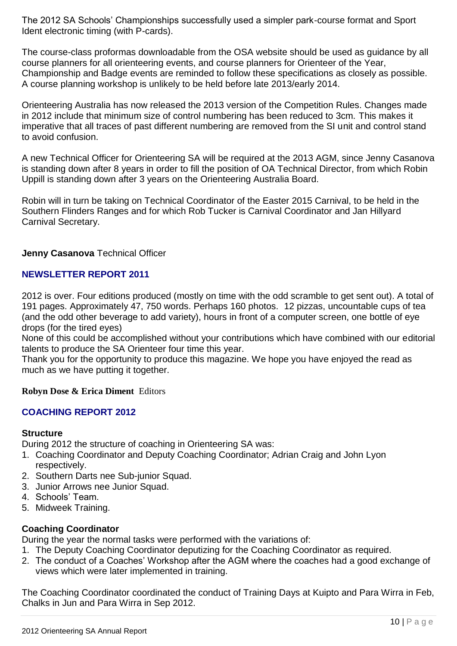The 2012 SA Schools' Championships successfully used a simpler park-course format and Sport Ident electronic timing (with P-cards).

The course-class proformas downloadable from the OSA website should be used as guidance by all course planners for all orienteering events, and course planners for Orienteer of the Year, Championship and Badge events are reminded to follow these specifications as closely as possible. A course planning workshop is unlikely to be held before late 2013/early 2014.

Orienteering Australia has now released the 2013 version of the Competition Rules. Changes made in 2012 include that minimum size of control numbering has been reduced to 3cm. This makes it imperative that all traces of past different numbering are removed from the SI unit and control stand to avoid confusion.

A new Technical Officer for Orienteering SA will be required at the 2013 AGM, since Jenny Casanova is standing down after 8 years in order to fill the position of OA Technical Director, from which Robin Uppill is standing down after 3 years on the Orienteering Australia Board.

Robin will in turn be taking on Technical Coordinator of the Easter 2015 Carnival, to be held in the Southern Flinders Ranges and for which Rob Tucker is Carnival Coordinator and Jan Hillyard Carnival Secretary.

# **Jenny Casanova** Technical Officer

# **NEWSLETTER REPORT 2011**

2012 is over. Four editions produced (mostly on time with the odd scramble to get sent out). A total of 191 pages. Approximately 47, 750 words. Perhaps 160 photos. 12 pizzas, uncountable cups of tea (and the odd other beverage to add variety), hours in front of a computer screen, one bottle of eye drops (for the tired eyes)

None of this could be accomplished without your contributions which have combined with our editorial talents to produce the SA Orienteer four time this year.

Thank you for the opportunity to produce this magazine. We hope you have enjoyed the read as much as we have putting it together.

# **Robyn Dose & Erica Diment** Editors

# **COACHING REPORT 2012**

# **Structure**

During 2012 the structure of coaching in Orienteering SA was:

- 1. Coaching Coordinator and Deputy Coaching Coordinator; Adrian Craig and John Lyon respectively.
- 2. Southern Darts nee Sub-junior Squad.
- 3. Junior Arrows nee Junior Squad.
- 4. Schools' Team.
- 5. Midweek Training.

# **Coaching Coordinator**

During the year the normal tasks were performed with the variations of:

- 1. The Deputy Coaching Coordinator deputizing for the Coaching Coordinator as required.
- 2. The conduct of a Coaches' Workshop after the AGM where the coaches had a good exchange of views which were later implemented in training.

The Coaching Coordinator coordinated the conduct of Training Days at Kuipto and Para Wirra in Feb, Chalks in Jun and Para Wirra in Sep 2012.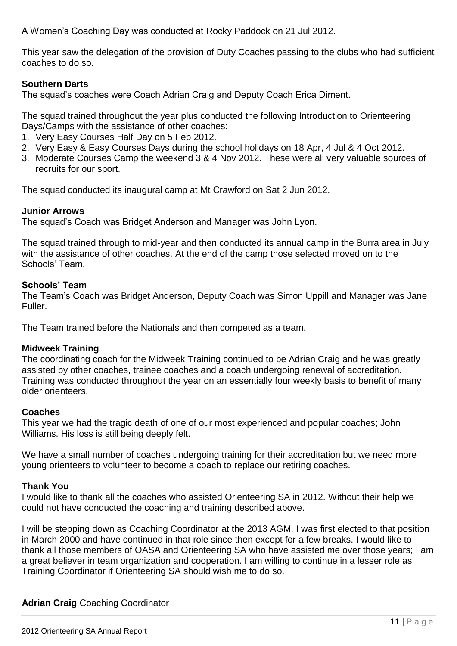A Women's Coaching Day was conducted at Rocky Paddock on 21 Jul 2012.

This year saw the delegation of the provision of Duty Coaches passing to the clubs who had sufficient coaches to do so.

# **Southern Darts**

The squad's coaches were Coach Adrian Craig and Deputy Coach Erica Diment.

The squad trained throughout the year plus conducted the following Introduction to Orienteering Days/Camps with the assistance of other coaches:

- 1. Very Easy Courses Half Day on 5 Feb 2012.
- 2. Very Easy & Easy Courses Days during the school holidays on 18 Apr, 4 Jul & 4 Oct 2012.
- 3. Moderate Courses Camp the weekend 3 & 4 Nov 2012. These were all very valuable sources of recruits for our sport.

The squad conducted its inaugural camp at Mt Crawford on Sat 2 Jun 2012.

# **Junior Arrows**

The squad's Coach was Bridget Anderson and Manager was John Lyon.

The squad trained through to mid-year and then conducted its annual camp in the Burra area in July with the assistance of other coaches. At the end of the camp those selected moved on to the Schools' Team.

# **Schools' Team**

The Team's Coach was Bridget Anderson, Deputy Coach was Simon Uppill and Manager was Jane Fuller.

The Team trained before the Nationals and then competed as a team.

# **Midweek Training**

The coordinating coach for the Midweek Training continued to be Adrian Craig and he was greatly assisted by other coaches, trainee coaches and a coach undergoing renewal of accreditation. Training was conducted throughout the year on an essentially four weekly basis to benefit of many older orienteers.

# **Coaches**

This year we had the tragic death of one of our most experienced and popular coaches; John Williams. His loss is still being deeply felt.

We have a small number of coaches undergoing training for their accreditation but we need more young orienteers to volunteer to become a coach to replace our retiring coaches.

# **Thank You**

I would like to thank all the coaches who assisted Orienteering SA in 2012. Without their help we could not have conducted the coaching and training described above.

I will be stepping down as Coaching Coordinator at the 2013 AGM. I was first elected to that position in March 2000 and have continued in that role since then except for a few breaks. I would like to thank all those members of OASA and Orienteering SA who have assisted me over those years; I am a great believer in team organization and cooperation. I am willing to continue in a lesser role as Training Coordinator if Orienteering SA should wish me to do so.

# **Adrian Craig** Coaching Coordinator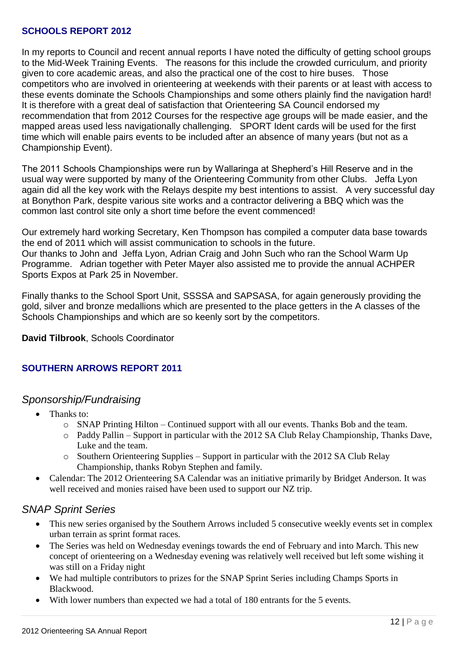# **SCHOOLS REPORT 2012**

In my reports to Council and recent annual reports I have noted the difficulty of getting school groups to the Mid-Week Training Events. The reasons for this include the crowded curriculum, and priority given to core academic areas, and also the practical one of the cost to hire buses. Those competitors who are involved in orienteering at weekends with their parents or at least with access to these events dominate the Schools Championships and some others plainly find the navigation hard! It is therefore with a great deal of satisfaction that Orienteering SA Council endorsed my recommendation that from 2012 Courses for the respective age groups will be made easier, and the mapped areas used less navigationally challenging. SPORT Ident cards will be used for the first time which will enable pairs events to be included after an absence of many years (but not as a Championship Event).

The 2011 Schools Championships were run by Wallaringa at Shepherd's Hill Reserve and in the usual way were supported by many of the Orienteering Community from other Clubs. Jeffa Lyon again did all the key work with the Relays despite my best intentions to assist. A very successful day at Bonython Park, despite various site works and a contractor delivering a BBQ which was the common last control site only a short time before the event commenced!

Our extremely hard working Secretary, Ken Thompson has compiled a computer data base towards the end of 2011 which will assist communication to schools in the future. Our thanks to John and Jeffa Lyon, Adrian Craig and John Such who ran the School Warm Up Programme. Adrian together with Peter Mayer also assisted me to provide the annual ACHPER Sports Expos at Park 25 in November.

Finally thanks to the School Sport Unit, SSSSA and SAPSASA, for again generously providing the gold, silver and bronze medallions which are presented to the place getters in the A classes of the Schools Championships and which are so keenly sort by the competitors.

**David Tilbrook**, Schools Coordinator

# **SOUTHERN ARROWS REPORT 2011**

# *Sponsorship/Fundraising*

- Thanks to:
	- $\circ$  SNAP Printing Hilton Continued support with all our events. Thanks Bob and the team.
	- o Paddy Pallin Support in particular with the 2012 SA Club Relay Championship, Thanks Dave, Luke and the team.
	- o Southern Orienteering Supplies Support in particular with the 2012 SA Club Relay Championship, thanks Robyn Stephen and family.
- Calendar: The 2012 Orienteering SA Calendar was an initiative primarily by Bridget Anderson. It was well received and monies raised have been used to support our NZ trip.

# *SNAP Sprint Series*

- This new series organised by the Southern Arrows included 5 consecutive weekly events set in complex urban terrain as sprint format races.
- The Series was held on Wednesday evenings towards the end of February and into March. This new concept of orienteering on a Wednesday evening was relatively well received but left some wishing it was still on a Friday night
- We had multiple contributors to prizes for the SNAP Sprint Series including Champs Sports in Blackwood.
- With lower numbers than expected we had a total of 180 entrants for the 5 events.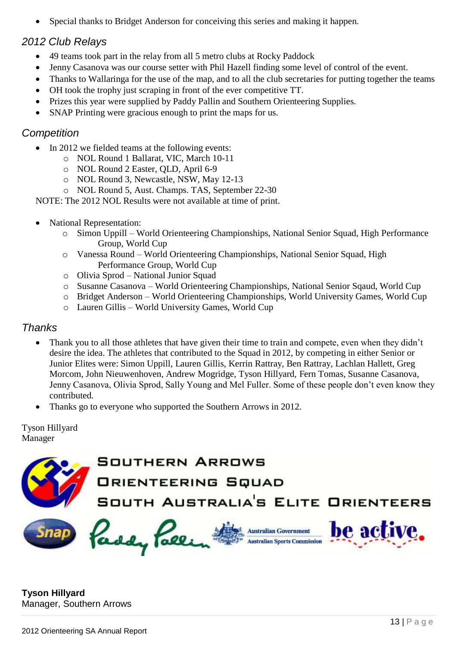Special thanks to Bridget Anderson for conceiving this series and making it happen.

# *2012 Club Relays*

- 49 teams took part in the relay from all 5 metro clubs at Rocky Paddock
- Jenny Casanova was our course setter with Phil Hazell finding some level of control of the event.
- Thanks to Wallaringa for the use of the map, and to all the club secretaries for putting together the teams
- OH took the trophy just scraping in front of the ever competitive TT.
- Prizes this year were supplied by Paddy Pallin and Southern Orienteering Supplies.
- SNAP Printing were gracious enough to print the maps for us.

# *Competition*

- In 2012 we fielded teams at the following events:
	- o NOL Round 1 Ballarat, VIC, March 10-11
		- o NOL Round 2 Easter, QLD, April 6-9
	- o NOL Round 3, Newcastle, NSW, May 12-13
	- o NOL Round 5, Aust. Champs. TAS, September 22-30

NOTE: The 2012 NOL Results were not available at time of print.

- National Representation:
	- o Simon Uppill World Orienteering Championships, National Senior Squad, High Performance Group, World Cup
	- o Vanessa Round World Orienteering Championships, National Senior Squad, High Performance Group, World Cup
	- o Olivia Sprod National Junior Squad
	- o Susanne Casanova World Orienteering Championships, National Senior Sqaud, World Cup
	- o Bridget Anderson World Orienteering Championships, World University Games, World Cup
	- o Lauren Gillis World University Games, World Cup

# *Thanks*

- Thank you to all those athletes that have given their time to train and compete, even when they didn't desire the idea. The athletes that contributed to the Squad in 2012, by competing in either Senior or Junior Elites were: Simon Uppill, Lauren Gillis, Kerrin Rattray, Ben Rattray, Lachlan Hallett, Greg Morcom, John Nieuwenhoven, Andrew Mogridge, Tyson Hillyard, Fern Tomas, Susanne Casanova, Jenny Casanova, Olivia Sprod, Sally Young and Mel Fuller. Some of these people don't even know they contributed.
- Thanks go to everyone who supported the Southern Arrows in 2012.

Tyson Hillyard Manager



**Tyson Hillyard** Manager, Southern Arrows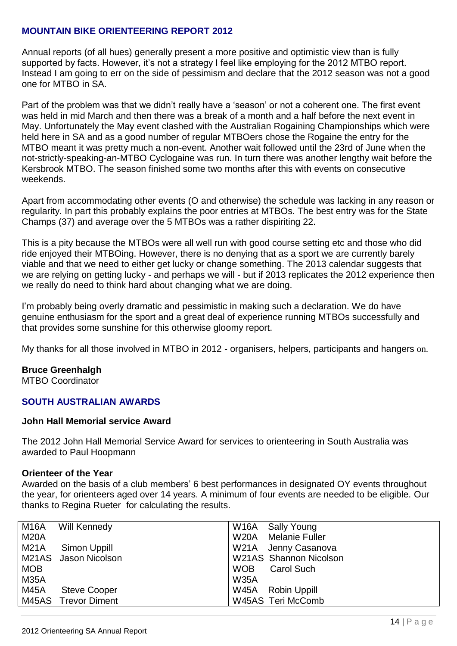# **MOUNTAIN BIKE ORIENTEERING REPORT 2012**

Annual reports (of all hues) generally present a more positive and optimistic view than is fully supported by facts. However, it's not a strategy I feel like employing for the 2012 MTBO report. Instead I am going to err on the side of pessimism and declare that the 2012 season was not a good one for MTBO in SA.

Part of the problem was that we didn't really have a 'season' or not a coherent one. The first event was held in mid March and then there was a break of a month and a half before the next event in May. Unfortunately the May event clashed with the Australian Rogaining Championships which were held here in SA and as a good number of regular MTBOers chose the Rogaine the entry for the MTBO meant it was pretty much a non-event. Another wait followed until the 23rd of June when the not-strictly-speaking-an-MTBO Cyclogaine was run. In turn there was another lengthy wait before the Kersbrook MTBO. The season finished some two months after this with events on consecutive weekends.

Apart from accommodating other events (O and otherwise) the schedule was lacking in any reason or regularity. In part this probably explains the poor entries at MTBOs. The best entry was for the State Champs (37) and average over the 5 MTBOs was a rather dispiriting 22.

This is a pity because the MTBOs were all well run with good course setting etc and those who did ride enjoyed their MTBOing. However, there is no denying that as a sport we are currently barely viable and that we need to either get lucky or change something. The 2013 calendar suggests that we are relying on getting lucky - and perhaps we will - but if 2013 replicates the 2012 experience then we really do need to think hard about changing what we are doing.

I'm probably being overly dramatic and pessimistic in making such a declaration. We do have genuine enthusiasm for the sport and a great deal of experience running MTBOs successfully and that provides some sunshine for this otherwise gloomy report.

My thanks for all those involved in MTBO in 2012 - organisers, helpers, participants and hangers on.

# **Bruce Greenhalgh**

MTBO Coordinator

# **SOUTH AUSTRALIAN AWARDS**

# **John Hall Memorial service Award**

The 2012 John Hall Memorial Service Award for services to orienteering in South Australia was awarded to Paul Hoopmann

# **Orienteer of the Year**

Awarded on the basis of a club members' 6 best performances in designated OY events throughout the year, for orienteers aged over 14 years. A minimum of four events are needed to be eligible. Our thanks to Regina Rueter for calculating the results.

| M <sub>16</sub> A | Will Kennedy         | W16A Sally Young                     |
|-------------------|----------------------|--------------------------------------|
| <b>M20A</b>       |                      | <b>Melanie Fuller</b><br><b>W20A</b> |
| <b>M21A</b>       | Simon Uppill         | W21A Jenny Casanova                  |
|                   | M21AS Jason Nicolson | <b>W21AS</b> Shannon Nicolson        |
| <b>MOB</b>        |                      | <b>WOB</b><br><b>Carol Such</b>      |
| <b>M35A</b>       |                      | <b>W35A</b>                          |
| <b>M45A</b>       | <b>Steve Cooper</b>  | W45A Robin Uppill                    |
|                   | M45AS Trevor Diment  | W45AS Teri McComb                    |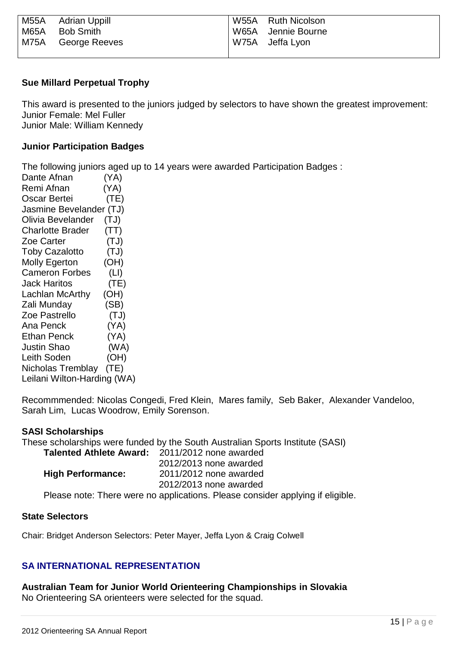| M55A | Adrian Uppill      | W55A Ruth Nicolson |
|------|--------------------|--------------------|
| M65A | Bob Smith          | W65A Jennie Bourne |
|      | M75A George Reeves | W75A Jeffa Lyon    |
|      |                    |                    |

# **Sue Millard Perpetual Trophy**

This award is presented to the juniors judged by selectors to have shown the greatest improvement: Junior Female: Mel Fuller Junior Male: William Kennedy

# **Junior Participation Badges**

The following juniors aged up to 14 years were awarded Participation Badges :

Dante Afnan (YA) Remi Afnan (YA) Oscar Bertei (TE) Jasmine Bevelander (TJ) Olivia Bevelander (TJ) Charlotte Brader (TT) Zoe Carter (TJ) Toby Cazalotto (TJ) Molly Egerton (OH) Cameron Forbes (LI) Jack Haritos (TE) Lachlan McArthy (OH) Zali Munday (SB) Zoe Pastrello (TJ) Ana Penck (YA) Ethan Penck (YA) Justin Shao (WA) Leith Soden (OH) Nicholas Tremblay (TE) Leilani Wilton-Harding (WA)

Recommmended: Nicolas Congedi, Fred Klein, Mares family, Seb Baker, Alexander Vandeloo, Sarah Lim, Lucas Woodrow, Emily Sorenson.

# **SASI Scholarships**

These scholarships were funded by the South Australian Sports Institute (SASI) **Talented Athlete Award:** 2011/2012 none awarded 2012/2013 none awarded **High Performance:** 2011/2012 none awarded 2012/2013 none awarded

Please note: There were no applications. Please consider applying if eligible.

# **State Selectors**

Chair: Bridget Anderson Selectors: Peter Mayer, Jeffa Lyon & Craig Colwell

# **SA INTERNATIONAL REPRESENTATION**

**Australian Team for Junior World Orienteering Championships in Slovakia** No Orienteering SA orienteers were selected for the squad.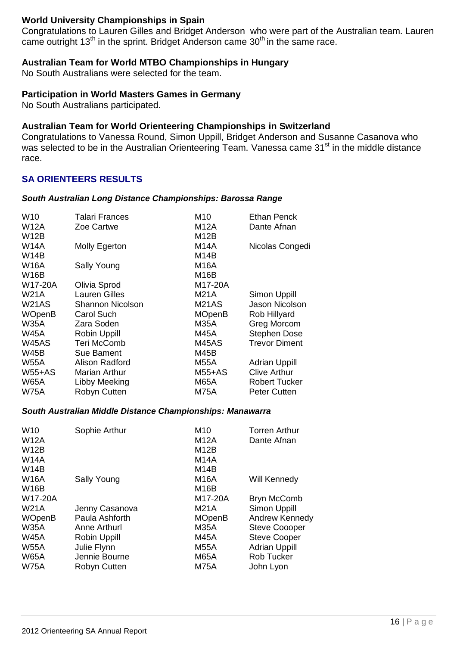# **World University Championships in Spain**

Congratulations to Lauren Gilles and Bridget Anderson who were part of the Australian team. Lauren came outright 13<sup>th</sup> in the sprint. Bridget Anderson came 30<sup>th</sup> in the same race.

# **Australian Team for World MTBO Championships in Hungary**

No South Australians were selected for the team.

# **Participation in World Masters Games in Germany**

No South Australians participated.

# **Australian Team for World Orienteering Championships in Switzerland**

Congratulations to Vanessa Round, Simon Uppill, Bridget Anderson and Susanne Casanova who was selected to be in the Australian Orienteering Team. Vanessa came 31<sup>st</sup> in the middle distance race.

# **SA ORIENTEERS RESULTS**

# *South Australian Long Distance Championships: Barossa Range*

| W <sub>10</sub> | Talari Frances       | M10               | <b>Ethan Penck</b>    |
|-----------------|----------------------|-------------------|-----------------------|
| <b>W12A</b>     | Zoe Cartwe           | M12A              | Dante Afnan           |
| <b>W12B</b>     |                      | M12B              |                       |
| <b>W14A</b>     | Molly Egerton        | M14A              | Nicolas Congedi       |
| <b>W14B</b>     |                      | M14B              |                       |
| <b>W16A</b>     | Sally Young          | M16A              |                       |
| <b>W16B</b>     |                      | M <sub>16</sub> B |                       |
| W17-20A         | Olivia Sprod         | M17-20A           |                       |
| <b>W21A</b>     | <b>Lauren Gilles</b> | M21A              | Simon Uppill          |
| <b>W21AS</b>    | Shannon Nicolson     | <b>M21AS</b>      | <b>Jason Nicolson</b> |
| <b>WOpenB</b>   | <b>Carol Such</b>    | <b>MOpenB</b>     | Rob Hillyard          |
| <b>W35A</b>     | Zara Soden           | M35A              | Greg Morcom           |
| <b>W45A</b>     | Robin Uppill         | M45A              | <b>Stephen Dose</b>   |
| <b>W45AS</b>    | Teri McComb          | M45AS             | <b>Trevor Diment</b>  |
| <b>W45B</b>     | <b>Sue Bament</b>    | M45B              |                       |
| <b>W55A</b>     | Alison Radford       | M55A              | <b>Adrian Uppill</b>  |
| $W55+AS$        | Marian Arthur        | <b>M55+AS</b>     | <b>Clive Arthur</b>   |
| <b>W65A</b>     | Libby Meeking        | <b>M65A</b>       | <b>Robert Tucker</b>  |
| W75A            | Robyn Cutten         | <b>M75A</b>       | <b>Peter Cutten</b>   |

# *South Australian Middle Distance Championships: Manawarra*

| W <sub>10</sub><br><b>W12A</b><br><b>W12B</b><br><b>W14A</b><br><b>W14B</b>                                 | Sophie Arthur                                                                                                           | M10<br>M12A<br>M12B<br><b>M14A</b><br>M <sub>14</sub> B                                              | <b>Torren Arthur</b><br>Dante Afnan                                                                                                                           |
|-------------------------------------------------------------------------------------------------------------|-------------------------------------------------------------------------------------------------------------------------|------------------------------------------------------------------------------------------------------|---------------------------------------------------------------------------------------------------------------------------------------------------------------|
| <b>W16A</b><br><b>W16B</b>                                                                                  | Sally Young                                                                                                             | M16A<br>M <sub>16</sub> B                                                                            | Will Kennedy                                                                                                                                                  |
| W17-20A<br><b>W21A</b><br><b>WOpenB</b><br><b>W35A</b><br><b>W45A</b><br><b>W55A</b><br><b>W65A</b><br>W75A | Jenny Casanova<br>Paula Ashforth<br>Anne Arthurl<br>Robin Uppill<br>Julie Flynn<br>Jennie Bourne<br><b>Robyn Cutten</b> | M17-20A<br>M21A<br><b>MOpenB</b><br><b>M35A</b><br><b>M45A</b><br><b>M55A</b><br><b>M65A</b><br>M75A | <b>Bryn McComb</b><br>Simon Uppill<br>Andrew Kennedy<br><b>Steve Coooper</b><br><b>Steve Cooper</b><br><b>Adrian Uppill</b><br><b>Rob Tucker</b><br>John Lyon |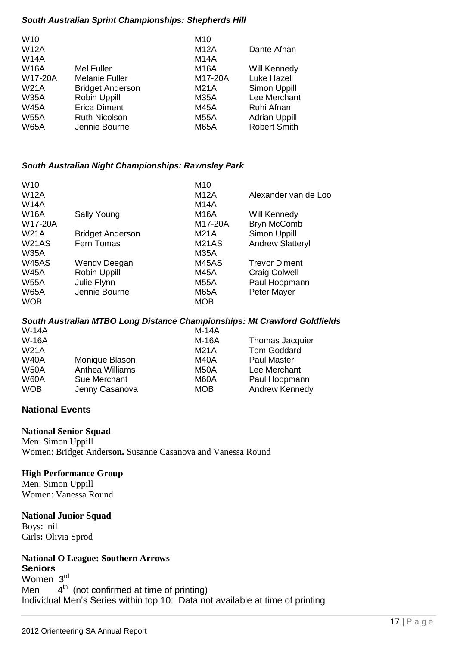# *South Australian Sprint Championships: Shepherds Hill*

| Dante Afnan          |
|----------------------|
|                      |
| Will Kennedy         |
| <b>Luke Hazell</b>   |
| Simon Uppill         |
| Lee Merchant         |
| Ruhi Afnan           |
| <b>Adrian Uppill</b> |
| <b>Robert Smith</b>  |
|                      |

# *South Australian Night Championships: Rawnsley Park*

|                         | M <sub>10</sub>    |                         |
|-------------------------|--------------------|-------------------------|
|                         | <b>M12A</b>        | Alexander van de Loo    |
|                         | <b>M14A</b>        |                         |
| Sally Young             | <b>M16A</b>        | Will Kennedy            |
|                         | M17-20A            | <b>Bryn McComb</b>      |
| <b>Bridget Anderson</b> | M21A               | Simon Uppill            |
| Fern Tomas              | M <sub>21</sub> AS | <b>Andrew Slatteryl</b> |
|                         | <b>M35A</b>        |                         |
| Wendy Deegan            | M45AS              | <b>Trevor Diment</b>    |
| Robin Uppill            | <b>M45A</b>        | <b>Craig Colwell</b>    |
| Julie Flynn             | <b>M55A</b>        | Paul Hoopmann           |
| Jennie Bourne           | <b>M65A</b>        | Peter Mayer             |
|                         | <b>MOB</b>         |                         |
|                         |                    |                         |

# *South Australian MTBO Long Distance Championships: Mt Crawford Goldfields*

| <b>W-14A</b> |                 | $M-14A$    |                        |
|--------------|-----------------|------------|------------------------|
| <b>W-16A</b> |                 | M-16A      | <b>Thomas Jacquier</b> |
| <b>W21A</b>  |                 | M21A       | Tom Goddard            |
| <b>W40A</b>  | Monique Blason  | M40A       | <b>Paul Master</b>     |
| <b>W50A</b>  | Anthea Williams | M50A       | Lee Merchant           |
| <b>W60A</b>  | Sue Merchant    | M60A       | Paul Hoopmann          |
| <b>WOB</b>   | Jenny Casanova  | <b>MOB</b> | Andrew Kennedy         |

# **National Events**

# **National Senior Squad**

Men: Simon Uppill Women: Bridget Anders**on.** Susanne Casanova and Vanessa Round

# **High Performance Group**

Men: Simon Uppill Women: Vanessa Round

# **National Junior Squad**

Boys: nil Girls**:** Olivia Sprod

# **National O League: Southern Arrows Seniors**

Women 3<sup>rd</sup> Men <sup>th</sup> (not confirmed at time of printing) Individual Men's Series within top 10: Data not available at time of printing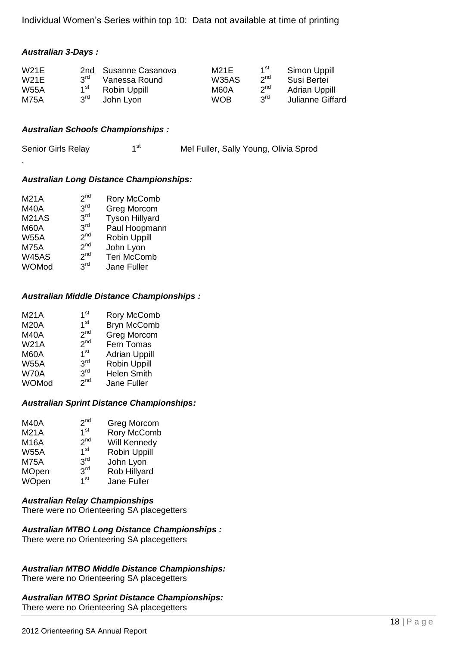Individual Women's Series within top 10: Data not available at time of printing

# *Australian 3-Days :*

.

| W21E        |                 | 2nd Susanne Casanova | M21E         | 1 <sup>st</sup> | Simon Uppill         |
|-------------|-----------------|----------------------|--------------|-----------------|----------------------|
| W21E        | $2^{\text{rd}}$ | Vanessa Round        | <b>W35AS</b> | $2^{nd}$        | Susi Bertei          |
| <b>W55A</b> | 1 <sup>st</sup> | Robin Uppill         | M60A         | 2 <sup>nd</sup> | <b>Adrian Uppill</b> |
| <b>M75A</b> | 3rd             | John Lyon            | <b>WOB</b>   | <b>PuS</b>      | Julianne Giffard     |

# *Australian Schools Championships :*

| Senior Girls Relay | ⊿st | Mel Fuller, Sally Young, Olivia Sprod |
|--------------------|-----|---------------------------------------|
|--------------------|-----|---------------------------------------|

# *Australian Long Distance Championships:*

| <b>M21A</b>  | 2 <sup>nd</sup> | Rory McComb           |
|--------------|-----------------|-----------------------|
| <b>M40A</b>  | 3 <sup>rd</sup> | <b>Greg Morcom</b>    |
| <b>M21AS</b> | 3 <sup>rd</sup> | <b>Tyson Hillyard</b> |
| <b>M60A</b>  | 3 <sup>rd</sup> | Paul Hoopmann         |
| <b>W55A</b>  | 2 <sup>nd</sup> | Robin Uppill          |
| <b>M75A</b>  | 2 <sup>nd</sup> | John Lyon             |
| <b>W45AS</b> | 2 <sup>nd</sup> | Teri McComb           |
| WOMod        | 3 <sup>rd</sup> | Jane Fuller           |
|              |                 |                       |

# *Australian Middle Distance Championships :*

| 1 <sup>st</sup> | <b>Rory McComb</b>                                                                                             |
|-----------------|----------------------------------------------------------------------------------------------------------------|
| 1 <sup>st</sup> | <b>Bryn McComb</b>                                                                                             |
|                 | Greg Morcom                                                                                                    |
|                 | Fern Tomas                                                                                                     |
|                 | <b>Adrian Uppill</b>                                                                                           |
|                 | <b>Robin Uppill</b>                                                                                            |
|                 | <b>Helen Smith</b>                                                                                             |
|                 | Jane Fuller                                                                                                    |
|                 | 2 <sup>nd</sup><br>2 <sup>nd</sup><br>1 <sup>st</sup><br>3 <sup>rd</sup><br>3 <sup>rd</sup><br>2 <sup>nd</sup> |

# *Australian Sprint Distance Championships:*

| Greg Morcom         |
|---------------------|
| <b>Rory McComb</b>  |
| Will Kennedy        |
| <b>Robin Uppill</b> |
| John Lyon           |
| Rob Hillyard        |
| Jane Fuller         |
|                     |

# *Australian Relay Championships*

There were no Orienteering SA placegetters

# *Australian MTBO Long Distance Championships :*  There were no Orienteering SA placegetters

# *Australian MTBO Middle Distance Championships:*

There were no Orienteering SA placegetters

# *Australian MTBO Sprint Distance Championships:*  There were no Orienteering SA placegetters